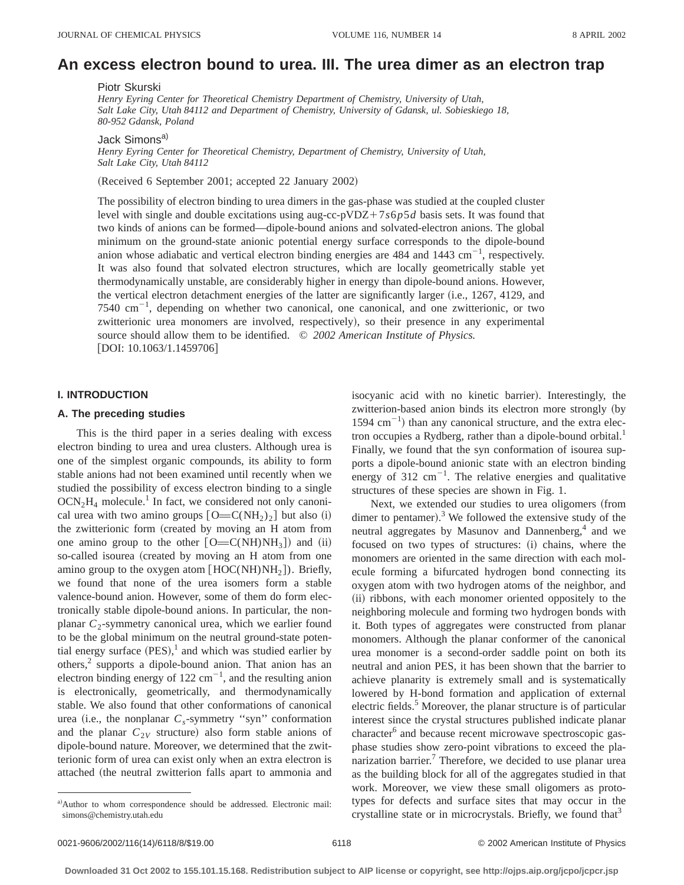# **An excess electron bound to urea. III. The urea dimer as an electron trap**

Piotr Skurski

*Henry Eyring Center for Theoretical Chemistry Department of Chemistry, University of Utah, Salt Lake City, Utah 84112 and Department of Chemistry, University of Gdansk, ul. Sobieskiego 18, 80-952 Gdansk, Poland*

Jack Simons<sup>a)</sup>

*Henry Eyring Center for Theoretical Chemistry, Department of Chemistry, University of Utah, Salt Lake City, Utah 84112*

(Received 6 September 2001; accepted 22 January 2002)

The possibility of electron binding to urea dimers in the gas-phase was studied at the coupled cluster level with single and double excitations using aug-cc-pVDZ+7 $s6p5d$  basis sets. It was found that two kinds of anions can be formed—dipole-bound anions and solvated-electron anions. The global minimum on the ground-state anionic potential energy surface corresponds to the dipole-bound anion whose adiabatic and vertical electron binding energies are  $484$  and  $1443 \text{ cm}^{-1}$ , respectively. It was also found that solvated electron structures, which are locally geometrically stable yet thermodynamically unstable, are considerably higher in energy than dipole-bound anions. However, the vertical electron detachment energies of the latter are significantly larger (i.e., 1267, 4129, and 7540  $\text{cm}^{-1}$ , depending on whether two canonical, one canonical, and one zwitterionic, or two zwitterionic urea monomers are involved, respectively), so their presence in any experimental source should allow them to be identified. © *2002 American Institute of Physics.*  $[DOI: 10.1063/1.1459706]$ 

## **I. INTRODUCTION**

# **A. The preceding studies**

This is the third paper in a series dealing with excess electron binding to urea and urea clusters. Although urea is one of the simplest organic compounds, its ability to form stable anions had not been examined until recently when we studied the possibility of excess electron binding to a single  $OCN<sub>2</sub>H<sub>4</sub>$  molecule.<sup>1</sup> In fact, we considered not only canonical urea with two amino groups  $[O=C(NH_2)_2]$  but also (i) the zwitterionic form (created by moving an H atom from one amino group to the other  $[O=C(NH)NH_3]$  and (ii) so-called isourea (created by moving an H atom from one amino group to the oxygen atom  $[HOC(NH)NH<sub>2</sub>]$ ). Briefly, we found that none of the urea isomers form a stable valence-bound anion. However, some of them do form electronically stable dipole-bound anions. In particular, the nonplanar  $C_2$ -symmetry canonical urea, which we earlier found to be the global minimum on the neutral ground-state potential energy surface  $(PES)$ ,<sup>1</sup> and which was studied earlier by others,<sup>2</sup> supports a dipole-bound anion. That anion has an electron binding energy of  $122 \text{ cm}^{-1}$ , and the resulting anion is electronically, geometrically, and thermodynamically stable. We also found that other conformations of canonical urea (i.e., the nonplanar  $C_s$ -symmetry "syn" conformation and the planar  $C_{2V}$  structure) also form stable anions of dipole-bound nature. Moreover, we determined that the zwitterionic form of urea can exist only when an extra electron is attached (the neutral zwitterion falls apart to ammonia and isocyanic acid with no kinetic barrier). Interestingly, the zwitterion-based anion binds its electron more strongly (by  $1594 \text{ cm}^{-1}$ ) than any canonical structure, and the extra electron occupies a Rydberg, rather than a dipole-bound orbital.<sup>1</sup> Finally, we found that the syn conformation of isourea supports a dipole-bound anionic state with an electron binding energy of 312  $\text{cm}^{-1}$ . The relative energies and qualitative structures of these species are shown in Fig. 1.

Next, we extended our studies to urea oligomers (from dimer to pentamer).<sup>3</sup> We followed the extensive study of the neutral aggregates by Masunov and Dannenberg, $4$  and we focused on two types of structures: (i) chains, where the monomers are oriented in the same direction with each molecule forming a bifurcated hydrogen bond connecting its oxygen atom with two hydrogen atoms of the neighbor, and (ii) ribbons, with each monomer oriented oppositely to the neighboring molecule and forming two hydrogen bonds with it. Both types of aggregates were constructed from planar monomers. Although the planar conformer of the canonical urea monomer is a second-order saddle point on both its neutral and anion PES, it has been shown that the barrier to achieve planarity is extremely small and is systematically lowered by H-bond formation and application of external electric fields.<sup>5</sup> Moreover, the planar structure is of particular interest since the crystal structures published indicate planar character<sup>6</sup> and because recent microwave spectroscopic gasphase studies show zero-point vibrations to exceed the planarization barrier.<sup>7</sup> Therefore, we decided to use planar urea as the building block for all of the aggregates studied in that work. Moreover, we view these small oligomers as prototypes for defects and surface sites that may occur in the crystalline state or in microcrystals. Briefly, we found that  $3$ 

a)Author to whom correspondence should be addressed. Electronic mail: simons@chemistry.utah.edu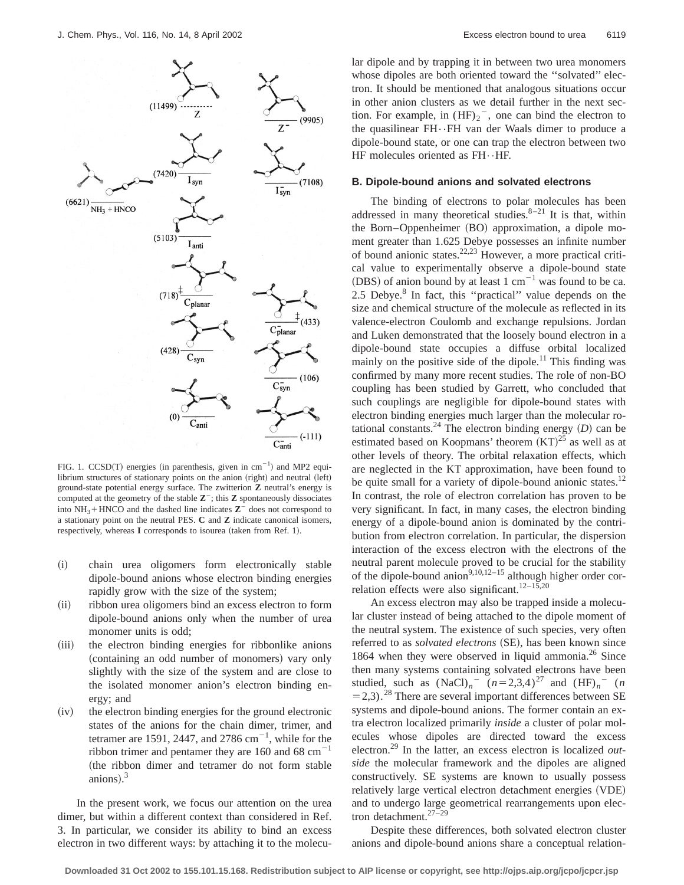

FIG. 1.  $CCSD(T)$  energies (in parenthesis, given in cm<sup>-1</sup>) and MP2 equilibrium structures of stationary points on the anion (right) and neutral (left) ground-state potential energy surface. The zwitterion **Z** neutral's energy is computed at the geometry of the stable  $\mathbb{Z}^{-}$ ; this  $\mathbb{Z}$  spontaneously dissociates into  $NH_3$ +HNCO and the dashed line indicates  $Z^-$  does not correspond to a stationary point on the neutral PES. **C** and **Z** indicate canonical isomers, respectively, whereas **I** corresponds to isourea (taken from Ref. 1).

- (i) chain urea oligomers form electronically stable dipole-bound anions whose electron binding energies rapidly grow with the size of the system;
- (ii) ribbon urea oligomers bind an excess electron to form dipole-bound anions only when the number of urea monomer units is odd;
- (iii) the electron binding energies for ribbonlike anions (containing an odd number of monomers) vary only slightly with the size of the system and are close to the isolated monomer anion's electron binding energy; and
- (iv) the electron binding energies for the ground electronic states of the anions for the chain dimer, trimer, and tetramer are 1591, 2447, and 2786  $cm^{-1}$ , while for the ribbon trimer and pentamer they are 160 and 68  $cm^{-1}$ (the ribbon dimer and tetramer do not form stable anions). $3$

In the present work, we focus our attention on the urea dimer, but within a different context than considered in Ref. 3. In particular, we consider its ability to bind an excess electron in two different ways: by attaching it to the molecular dipole and by trapping it in between two urea monomers whose dipoles are both oriented toward the ''solvated'' electron. It should be mentioned that analogous situations occur in other anion clusters as we detail further in the next section. For example, in  $(HF)_2$ <sup>-</sup>, one can bind the electron to the quasilinear FH••FH van der Waals dimer to produce a dipole-bound state, or one can trap the electron between two HF molecules oriented as FH••HF.

#### **B. Dipole-bound anions and solvated electrons**

The binding of electrons to polar molecules has been addressed in many theoretical studies. $8-21$  It is that, within the Born–Oppenheimer (BO) approximation, a dipole moment greater than 1.625 Debye possesses an infinite number of bound anionic states. $22,23$  However, a more practical critical value to experimentally observe a dipole-bound state (DBS) of anion bound by at least 1 cm<sup>-1</sup> was found to be ca. 2.5 Debye.<sup>8</sup> In fact, this "practical" value depends on the size and chemical structure of the molecule as reflected in its valence-electron Coulomb and exchange repulsions. Jordan and Luken demonstrated that the loosely bound electron in a dipole-bound state occupies a diffuse orbital localized mainly on the positive side of the dipole.<sup>11</sup> This finding was confirmed by many more recent studies. The role of non-BO coupling has been studied by Garrett, who concluded that such couplings are negligible for dipole-bound states with electron binding energies much larger than the molecular rotational constants.<sup>24</sup> The electron binding energy  $(D)$  can be estimated based on Koopmans' theorem  $(KT)^{25}$  as well as at other levels of theory. The orbital relaxation effects, which are neglected in the KT approximation, have been found to be quite small for a variety of dipole-bound anionic states.<sup>12</sup> In contrast, the role of electron correlation has proven to be very significant. In fact, in many cases, the electron binding energy of a dipole-bound anion is dominated by the contribution from electron correlation. In particular, the dispersion interaction of the excess electron with the electrons of the neutral parent molecule proved to be crucial for the stability of the dipole-bound anion<sup>9,10,12–15</sup> although higher order correlation effects were also significant.<sup>12–15,20</sup>

An excess electron may also be trapped inside a molecular cluster instead of being attached to the dipole moment of the neutral system. The existence of such species, very often referred to as *solvated electrons* (SE), has been known since 1864 when they were observed in liquid ammonia.<sup>26</sup> Since then many systems containing solvated electrons have been studied, such as  $(NaCl)_n$ <sup>-</sup>  $(n=2,3,4)^{27}$  and  $(HF)_n$ <sup>-</sup>  $(n=2,3,4)^{27}$  $=$  2,3).<sup>28</sup> There are several important differences between SE systems and dipole-bound anions. The former contain an extra electron localized primarily *inside* a cluster of polar molecules whose dipoles are directed toward the excess electron.29 In the latter, an excess electron is localized *outside* the molecular framework and the dipoles are aligned constructively. SE systems are known to usually possess relatively large vertical electron detachment energies (VDE) and to undergo large geometrical rearrangements upon electron detachment.27–29

Despite these differences, both solvated electron cluster anions and dipole-bound anions share a conceptual relation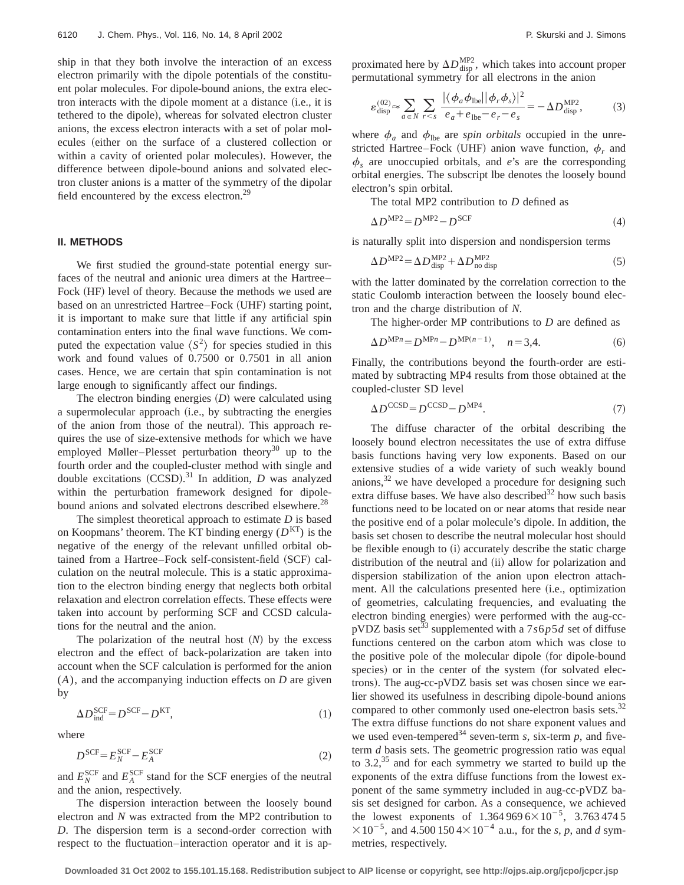ship in that they both involve the interaction of an excess electron primarily with the dipole potentials of the constituent polar molecules. For dipole-bound anions, the extra electron interacts with the dipole moment at a distance (i.e., it is tethered to the dipole), whereas for solvated electron cluster anions, the excess electron interacts with a set of polar molecules (either on the surface of a clustered collection or within a cavity of oriented polar molecules). However, the difference between dipole-bound anions and solvated electron cluster anions is a matter of the symmetry of the dipolar field encountered by the excess electron.<sup>29</sup>

## **II. METHODS**

We first studied the ground-state potential energy surfaces of the neutral and anionic urea dimers at the Hartree– Fock (HF) level of theory. Because the methods we used are based on an unrestricted Hartree–Fock (UHF) starting point, it is important to make sure that little if any artificial spin contamination enters into the final wave functions. We computed the expectation value  $\langle S^2 \rangle$  for species studied in this work and found values of 0.7500 or 0.7501 in all anion cases. Hence, we are certain that spin contamination is not large enough to significantly affect our findings.

The electron binding energies  $(D)$  were calculated using a supermolecular approach (i.e., by subtracting the energies of the anion from those of the neutral). This approach requires the use of size-extensive methods for which we have employed Møller–Plesset perturbation theory<sup>30</sup> up to the fourth order and the coupled-cluster method with single and double excitations  $(CCSD)$ .<sup>31</sup> In addition, *D* was analyzed within the perturbation framework designed for dipolebound anions and solvated electrons described elsewhere.<sup>28</sup>

The simplest theoretical approach to estimate *D* is based on Koopmans' theorem. The KT binding energy (*D*KT) is the negative of the energy of the relevant unfilled orbital obtained from a Hartree–Fock self-consistent-field (SCF) calculation on the neutral molecule. This is a static approximation to the electron binding energy that neglects both orbital relaxation and electron correlation effects. These effects were taken into account by performing SCF and CCSD calculations for the neutral and the anion.

The polarization of the neutral host  $(N)$  by the excess electron and the effect of back-polarization are taken into account when the SCF calculation is performed for the anion (*A*), and the accompanying induction effects on *D* are given by

$$
\Delta D_{\text{ind}}^{\text{SCF}} = D^{\text{SCF}} - D^{\text{KT}},\tag{1}
$$

where

$$
D^{\text{SCF}} = E_N^{\text{SCF}} - E_A^{\text{SCF}} \tag{2}
$$

and  $E_N^{\text{SCF}}$  and  $E_A^{\text{SCF}}$  stand for the SCF energies of the neutral and the anion, respectively.

The dispersion interaction between the loosely bound electron and *N* was extracted from the MP2 contribution to *D*. The dispersion term is a second-order correction with respect to the fluctuation–interaction operator and it is approximated here by  $\Delta D_{\text{disp}}^{\text{MP2}}$ , which takes into account proper permutational symmetry for all electrons in the anion

$$
\varepsilon_{\text{disp}}^{(02)} \approx \sum_{a \in N} \sum_{r < s} \frac{|\langle \phi_a \phi_{\text{lbe}} | |\phi_r \phi_s \rangle|^2}{e_a + e_{\text{lbe}} - e_r - e_s} = -\Delta D_{\text{disp}}^{\text{MP2}},\tag{3}
$$

where  $\phi_a$  and  $\phi_{\text{lbe}}$  are *spin orbitals* occupied in the unrestricted Hartree–Fock (UHF) anion wave function,  $\phi_r$  and  $\phi_s$  are unoccupied orbitals, and *e*'s are the corresponding orbital energies. The subscript lbe denotes the loosely bound electron's spin orbital.

The total MP2 contribution to *D* defined as

$$
\Delta D^{\text{MP2}} = D^{\text{MP2}} - D^{\text{SCF}} \tag{4}
$$

is naturally split into dispersion and nondispersion terms

$$
\Delta D^{\text{MP2}} = \Delta D_{\text{disp}}^{\text{MP2}} + \Delta D_{\text{no disp}}^{\text{MP2}} \tag{5}
$$

with the latter dominated by the correlation correction to the static Coulomb interaction between the loosely bound electron and the charge distribution of *N*.

The higher-order MP contributions to *D* are defined as

$$
\Delta D^{\text{MP}n} = D^{\text{MP}n} - D^{\text{MP}(n-1)}, \quad n = 3, 4. \tag{6}
$$

Finally, the contributions beyond the fourth-order are estimated by subtracting MP4 results from those obtained at the coupled-cluster SD level

$$
\Delta D^{\text{CCSD}} = D^{\text{CCSD}} - D^{\text{MP4}}.\tag{7}
$$

The diffuse character of the orbital describing the loosely bound electron necessitates the use of extra diffuse basis functions having very low exponents. Based on our extensive studies of a wide variety of such weakly bound anions, $32$  we have developed a procedure for designing such extra diffuse bases. We have also described  $32$  how such basis functions need to be located on or near atoms that reside near the positive end of a polar molecule's dipole. In addition, the basis set chosen to describe the neutral molecular host should be flexible enough to (i) accurately describe the static charge distribution of the neutral and (ii) allow for polarization and dispersion stabilization of the anion upon electron attachment. All the calculations presented here (i.e., optimization of geometries, calculating frequencies, and evaluating the electron binding energies) were performed with the aug-ccpVDZ basis set<sup>33</sup> supplemented with a  $7s6p5d$  set of diffuse functions centered on the carbon atom which was close to the positive pole of the molecular dipole (for dipole-bound species) or in the center of the system (for solvated electrons). The aug-cc-pVDZ basis set was chosen since we earlier showed its usefulness in describing dipole-bound anions compared to other commonly used one-electron basis sets. $32$ The extra diffuse functions do not share exponent values and we used even-tempered<sup>34</sup> seven-term *s*, six-term *p*, and fiveterm *d* basis sets. The geometric progression ratio was equal to  $3.2<sup>35</sup>$  and for each symmetry we started to build up the exponents of the extra diffuse functions from the lowest exponent of the same symmetry included in aug-cc-pVDZ basis set designed for carbon. As a consequence, we achieved the lowest exponents of  $1.364\,969\,6\times10^{-5}$ ,  $3.763\,474\,5$  $\times 10^{-5}$ , and 4.500 150 4 $\times 10^{-4}$  a.u., for the *s*, *p*, and *d* symmetries, respectively.

**Downloaded 31 Oct 2002 to 155.101.15.168. Redistribution subject to AIP license or copyright, see http://ojps.aip.org/jcpo/jcpcr.jsp**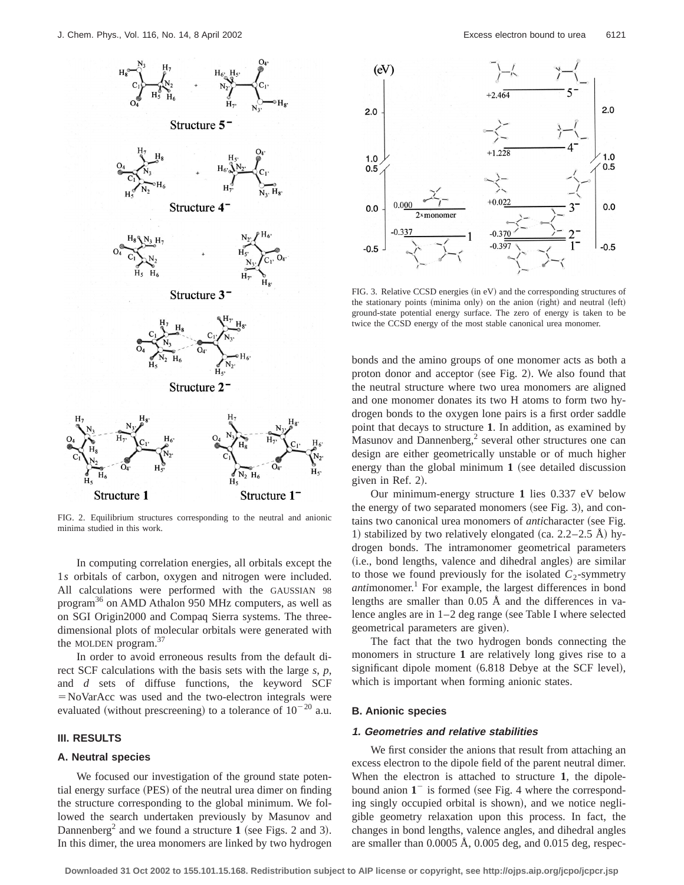![](_page_3_Figure_1.jpeg)

FIG. 2. Equilibrium structures corresponding to the neutral and anionic minima studied in this work.

In computing correlation energies, all orbitals except the 1*s* orbitals of carbon, oxygen and nitrogen were included. All calculations were performed with the GAUSSIAN 98 program36 on AMD Athalon 950 MHz computers, as well as on SGI Origin2000 and Compaq Sierra systems. The threedimensional plots of molecular orbitals were generated with the MOLDEN program. $37$ 

In order to avoid erroneous results from the default direct SCF calculations with the basis sets with the large *s*, *p*, and *d* sets of diffuse functions, the keyword SCF  $=NoVarAcc$  was used and the two-electron integrals were evaluated (without prescreening) to a tolerance of  $10^{-20}$  a.u.

# **III. RESULTS**

#### **A. Neutral species**

We focused our investigation of the ground state potential energy surface (PES) of the neutral urea dimer on finding the structure corresponding to the global minimum. We followed the search undertaken previously by Masunov and Dannenberg<sup>2</sup> and we found a structure  $1$  (see Figs. 2 and 3). In this dimer, the urea monomers are linked by two hydrogen

![](_page_3_Figure_9.jpeg)

 $FIG. 3. Relative CCSD energies (in eV) and the corresponding structures of$ the stationary points (minima only) on the anion (right) and neutral (left) ground-state potential energy surface. The zero of energy is taken to be twice the CCSD energy of the most stable canonical urea monomer.

bonds and the amino groups of one monomer acts as both a proton donor and acceptor (see Fig. 2). We also found that the neutral structure where two urea monomers are aligned and one monomer donates its two H atoms to form two hydrogen bonds to the oxygen lone pairs is a first order saddle point that decays to structure **1**. In addition, as examined by Masunov and Dannenberg, $<sup>2</sup>$  several other structures one can</sup> design are either geometrically unstable or of much higher energy than the global minimum  $1$  (see detailed discussion given in Ref.  $2$ ).

Our minimum-energy structure **1** lies 0.337 eV below the energy of two separated monomers (see Fig. 3), and contains two canonical urea monomers of *anti*character (see Fig. 1) stabilized by two relatively elongated (ca.  $2.2-2.5$  Å) hydrogen bonds. The intramonomer geometrical parameters (i.e., bond lengths, valence and dihedral angles) are similar to those we found previously for the isolated  $C_2$ -symmetry *anti*monomer.<sup>1</sup> For example, the largest differences in bond lengths are smaller than 0.05 Å and the differences in valence angles are in  $1-2$  deg range (see Table I where selected geometrical parameters are given).

The fact that the two hydrogen bonds connecting the monomers in structure **1** are relatively long gives rise to a significant dipole moment  $(6.818$  Debye at the SCF level), which is important when forming anionic states.

## **B. Anionic species**

# **1. Geometries and relative stabilities**

We first consider the anions that result from attaching an excess electron to the dipole field of the parent neutral dimer. When the electron is attached to structure **1**, the dipolebound anion  $1<sup>-</sup>$  is formed (see Fig. 4 where the corresponding singly occupied orbital is shown), and we notice negligible geometry relaxation upon this process. In fact, the changes in bond lengths, valence angles, and dihedral angles are smaller than 0.0005 Å, 0.005 deg, and 0.015 deg, respec-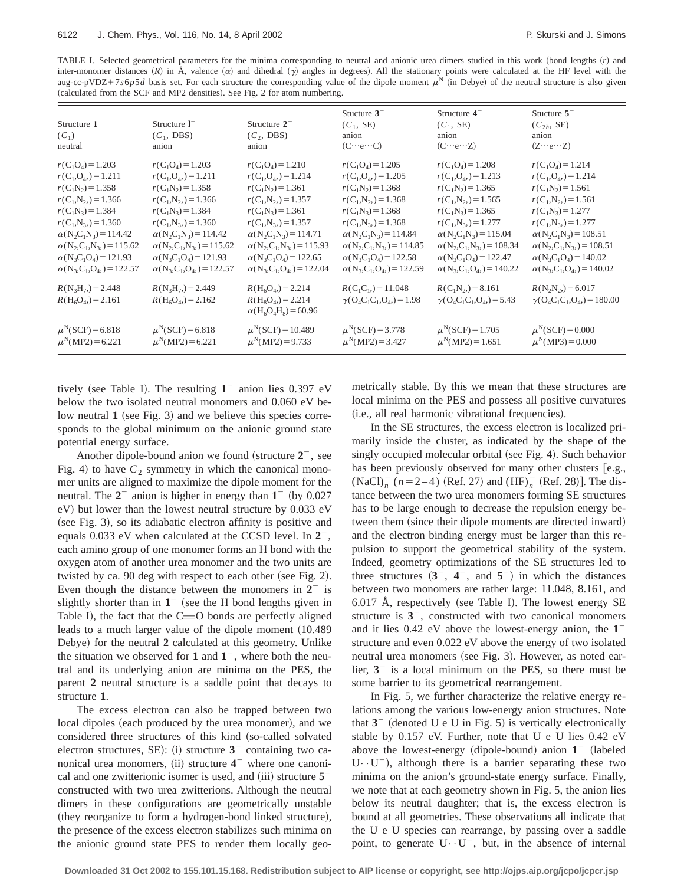TABLE I. Selected geometrical parameters for the minima corresponding to neutral and anionic urea dimers studied in this work (bond lengths (*r*) and inter-monomer distances  $(R)$  in Å, valence  $(\alpha)$  and dihedral  $(\gamma)$  angles in degrees). All the stationary points were calculated at the HF level with the aug-cc-pVDZ+7*s*6*p5d* basis set. For each structure the corresponding value of the dipole moment  $\mu^N$  (in Debye) of the neutral structure is also given (calculated from the SCF and MP2 densities). See Fig. 2 for atom numbering.

| Structure 1<br>$(C_1)$<br>neutral                                                                                                                                                                                                                                                                                        | Structure $I^-$<br>$(C_1, DBS)$<br>anion                                                                                                                                                                                                                                                                                 | Structure $2^-$<br>$(C_2, DBS)$<br>anion                                                                                                                                                                                                                                                                                 | Stucture $3^-$<br>$(C_1, SE)$<br>anion<br>$(C \cdots e \cdots C)$                                                                                                                                                                                                                                                                                                            | Structure $4^-$<br>$(C_1, SE)$<br>anion<br>$(C \cdots e \cdots Z)$                                                                                                                                                                                                                                                                                                                                                            | Stucture $5-$<br>$(C_{2h}, SE)$<br>anion<br>$(Z \cdots e \cdots Z)$                                                                                                                                                                                                                                                                                                                                                             |
|--------------------------------------------------------------------------------------------------------------------------------------------------------------------------------------------------------------------------------------------------------------------------------------------------------------------------|--------------------------------------------------------------------------------------------------------------------------------------------------------------------------------------------------------------------------------------------------------------------------------------------------------------------------|--------------------------------------------------------------------------------------------------------------------------------------------------------------------------------------------------------------------------------------------------------------------------------------------------------------------------|------------------------------------------------------------------------------------------------------------------------------------------------------------------------------------------------------------------------------------------------------------------------------------------------------------------------------------------------------------------------------|-------------------------------------------------------------------------------------------------------------------------------------------------------------------------------------------------------------------------------------------------------------------------------------------------------------------------------------------------------------------------------------------------------------------------------|---------------------------------------------------------------------------------------------------------------------------------------------------------------------------------------------------------------------------------------------------------------------------------------------------------------------------------------------------------------------------------------------------------------------------------|
| $r(C_1O_4) = 1.203$<br>$r(C_1, O_4) = 1.211$<br>$r(C_1N_2)=1.358$<br>$r(C_1,N_2)=1.366$<br>$r(C_1N_3) = 1.384$<br>$r(C_1,N_3)=1.360$<br>$\alpha(N_2C_1N_3) = 114.42$<br>$\alpha(N_2, C_1, N_3) = 115.62$<br>$\alpha(N_3C_1O_4) = 121.93$<br>$\alpha(N_3, C_1, O_4) = 122.57$<br>$R(N_3H_7) = 2.448$<br>$R(H6O4) = 2.161$ | $r(C_1O_4) = 1.203$<br>$r(C_1, O_4) = 1.211$<br>$r(C_1N_2)=1.358$<br>$r(C_1,N_2)=1.366$<br>$r(C_1N_3) = 1.384$<br>$r(C_1,N_3)=1.360$<br>$\alpha(N_2C_1N_3) = 114.42$<br>$\alpha(N_2, C_1, N_3) = 115.62$<br>$\alpha(N_3C_1O_4) = 121.93$<br>$\alpha(N_3, C_1, O_4) = 122.57$<br>$R(N_3H_7) = 2.449$<br>$R(H6O4) = 2.162$ | $r(C_1O_4) = 1.210$<br>$r(C_1, O_4) = 1.214$<br>$r(C_1N_2)=1.361$<br>$r(C_1,N_2)=1.357$<br>$r(C_1N_3) = 1.361$<br>$r(C_1,N_3)=1.357$<br>$\alpha(N_2C_1N_3) = 114.71$<br>$\alpha(N_2, C_1, N_3) = 115.93$<br>$\alpha(N_3C_1O_4) = 122.65$<br>$\alpha(N_3, C_1, O_4) = 122.04$<br>$R(H6O4) = 2.214$<br>$R(H_8O_4) = 2.214$ | $r(C_1O_4) = 1.205$<br>$r(C_1, O_4) = 1.205$<br>$r(C_1N_2) = 1.368$<br>$r(C_1,N_2)=1.368$<br>$r(C_1N_3) = 1.368$<br>$r(C_1,N_3)=1.368$<br>$\alpha(N_2C_1N_3) = 114.84$<br>$\alpha(N_2, C_1, N_3) = 114.85$<br>$\alpha(N_3C_1O_4) = 122.58$<br>$\alpha$ (N <sub>3</sub> ,C <sub>1</sub> ,O <sub>4</sub> ,) = 122.59<br>$R(C_1C_1) = 11.048$<br>$\gamma(O_4C_1C_1,O_4) = 1.98$ | $r(C_1O_4) = 1.208$<br>$r(C_1, O_4) = 1.213$<br>$r(C_1N_2) = 1.365$<br>$r(C_1,N_2)=1.565$<br>$r(C_1N_3) = 1.365$<br>$r(C_1,N_3)=1.277$<br>$\alpha(N_2C_1N_3) = 115.04$<br>$\alpha(N_2, C_1, N_3) = 108.34$<br>$\alpha (N_3C_1O_4) = 122.47$<br>$\alpha$ (N <sub>3</sub> ,C <sub>1</sub> ,O <sub>4</sub> ,) = 140.22<br>$R(C_1N_2) = 8.161$<br>$\gamma$ (O <sub>4</sub> C <sub>1</sub> C <sub>1</sub> ,O <sub>4</sub> ) = 5.43 | $r(C_1O_4) = 1.214$<br>$r(C_1, O_4) = 1.214$<br>$r(C_1N_2)=1.561$<br>$r(C_1,N_2)=1.561$<br>$r(C_1N_3) = 1.277$<br>$r(C_1,N_3)=1.277$<br>$\alpha(N_2C_1N_3) = 108.51$<br>$\alpha(N_2, C_1, N_3) = 108.51$<br>$\alpha (N_3 C_1 O_4) = 140.02$<br>$\alpha$ (N <sub>3</sub> ,C <sub>1</sub> ,O <sub>4</sub> ,) = 140.02<br>$R(N_2N_2) = 6.017$<br>$\gamma$ (O <sub>4</sub> C <sub>1</sub> C <sub>1</sub> ,O <sub>4</sub> ) = 180.00 |
| $\mu^N(SCF) = 6.818$<br>$\mu^N(MP2) = 6.221$                                                                                                                                                                                                                                                                             | $\mu^N (SCF) = 6.818$<br>$\mu^N(MP2) = 6.221$                                                                                                                                                                                                                                                                            | $\alpha(H_6O_4H_8) = 60.96$<br>$\mu^N(SCF) = 10.489$<br>$\mu^{N}(\text{MP2}) = 9.733$                                                                                                                                                                                                                                    | $\mu^N(SCF) = 3.778$<br>$\mu^{N}(\text{MP2}) = 3.427$                                                                                                                                                                                                                                                                                                                        | $\mu^N(SCF) = 1.705$<br>$\mu^N(MP2) = 1.651$                                                                                                                                                                                                                                                                                                                                                                                  | $\mu^N(SCF) = 0.000$<br>$\mu^{N}(MP3) = 0.000$                                                                                                                                                                                                                                                                                                                                                                                  |

tively (see Table I). The resulting  $1<sup>-</sup>$  anion lies 0.397 eV below the two isolated neutral monomers and 0.060 eV below neutral  $\bf{1}$  (see Fig. 3) and we believe this species corresponds to the global minimum on the anionic ground state potential energy surface.

Another dipole-bound anion we found (structure  $2^-$ , see Fig. 4) to have  $C_2$  symmetry in which the canonical monomer units are aligned to maximize the dipole moment for the neutral. The  $2<sup>-</sup>$  anion is higher in energy than  $1<sup>-</sup>$  (by 0.027)  $eV$ ) but lower than the lowest neutral structure by 0.033  $eV$  $(see Fig. 3)$ , so its adiabatic electron affinity is positive and equals  $0.033$  eV when calculated at the CCSD level. In  $2^-$ , each amino group of one monomer forms an H bond with the oxygen atom of another urea monomer and the two units are twisted by ca.  $90$  deg with respect to each other (see Fig. 2). Even though the distance between the monomers in  $2<sup>-</sup>$  is slightly shorter than in  $1<sup>-</sup>$  (see the H bond lengths given in Table I), the fact that the  $C=O$  bonds are perfectly aligned leads to a much larger value of the dipole moment (10.489) Debye) for the neutral 2 calculated at this geometry. Unlike the situation we observed for  $1$  and  $1<sup>-</sup>$ , where both the neutral and its underlying anion are minima on the PES, the parent **2** neutral structure is a saddle point that decays to structure **1**.

The excess electron can also be trapped between two local dipoles (each produced by the urea monomer), and we considered three structures of this kind (so-called solvated electron structures, SE): (i) structure  $3<sup>-</sup>$  containing two canonical urea monomers,  $(ii)$  structure  $4^-$  where one canonical and one zwitterionic isomer is used, and  $(iii)$  structure  $5$ constructed with two urea zwitterions. Although the neutral dimers in these configurations are geometrically unstable (they reorganize to form a hydrogen-bond linked structure), the presence of the excess electron stabilizes such minima on the anionic ground state PES to render them locally geometrically stable. By this we mean that these structures are local minima on the PES and possess all positive curvatures (i.e., all real harmonic vibrational frequencies).

In the SE structures, the excess electron is localized primarily inside the cluster, as indicated by the shape of the singly occupied molecular orbital (see Fig. 4). Such behavior has been previously observed for many other clusters  $[e.g.,]$  $(NaCl)<sub>n</sub>$ <sup>-</sup> ( $n=2-4$ ) (Ref. 27) and (HF)<sup>-</sup><sub>n</sub><sup>-</sup> (Ref. 28)]. The distance between the two urea monomers forming SE structures has to be large enough to decrease the repulsion energy between them (since their dipole moments are directed inward) and the electron binding energy must be larger than this repulsion to support the geometrical stability of the system. Indeed, geometry optimizations of the SE structures led to three structures  $(3^-, 4^-, \text{ and } 5^-)$  in which the distances between two monomers are rather large: 11.048, 8.161, and 6.017 Å, respectively (see Table I). The lowest energy SE structure is  $3<sup>-</sup>$ , constructed with two canonical monomers and it lies  $0.42$  eV above the lowest-energy anion, the  $1$ structure and even 0.022 eV above the energy of two isolated neutral urea monomers (see Fig. 3). However, as noted earlier,  $3<sup>-</sup>$  is a local minimum on the PES, so there must be some barrier to its geometrical rearrangement.

In Fig. 5, we further characterize the relative energy relations among the various low-energy anion structures. Note that  $3^-$  (denoted U e U in Fig. 5) is vertically electronically stable by  $0.157$  eV. Further, note that U e U lies  $0.42$  eV above the lowest-energy (dipole-bound) anion  $1^-$  (labeled  $U \cdot U^{-}$ ), although there is a barrier separating these two minima on the anion's ground-state energy surface. Finally, we note that at each geometry shown in Fig. 5, the anion lies below its neutral daughter; that is, the excess electron is bound at all geometries. These observations all indicate that the U e U species can rearrange, by passing over a saddle point, to generate  $U \cdot U^-$ , but, in the absence of internal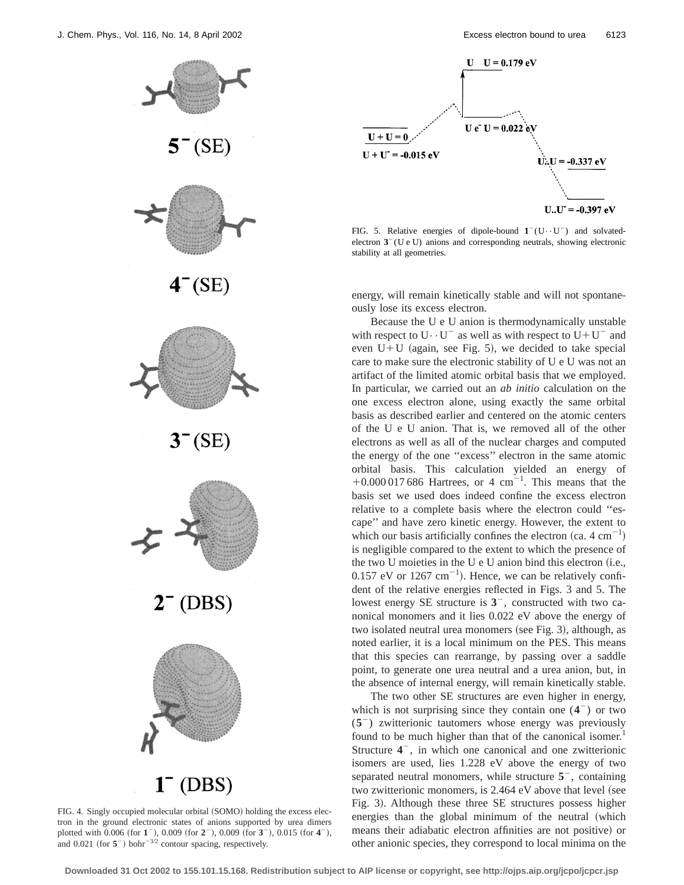![](_page_5_Figure_1.jpeg)

FIG. 4. Singly occupied molecular orbital (SOMO) holding the excess electron in the ground electronic states of anions supported by urea dimers plotted with 0.006 (for 1<sup>-</sup>), 0.009 (for 2<sup>-</sup>), 0.009 (for 3<sup>-</sup>), 0.015 (for 4<sup>-</sup>), and  $0.021$  (for  $5^-$ ) bohr<sup>-3/2</sup> contour spacing, respectively.

![](_page_5_Figure_4.jpeg)

FIG. 5. Relative energies of dipole-bound  $1^-(U\cdot U^-)$  and solvatedelectron  $3^-(U e U)$  anions and corresponding neutrals, showing electronic stability at all geometries.

energy, will remain kinetically stable and will not spontaneously lose its excess electron.

Because the U e U anion is thermodynamically unstable with respect to  $U \cdot U^-$  as well as with respect to  $U + U^-$  and even  $U+U$  (again, see Fig. 5), we decided to take special care to make sure the electronic stability of U e U was not an artifact of the limited atomic orbital basis that we employed. In particular, we carried out an *ab initio* calculation on the one excess electron alone, using exactly the same orbital basis as described earlier and centered on the atomic centers of the U e U anion. That is, we removed all of the other electrons as well as all of the nuclear charges and computed the energy of the one ''excess'' electron in the same atomic orbital basis. This calculation yielded an energy of  $+0.000\,017\,686$  Hartrees, or 4 cm<sup>-1</sup>. This means that the basis set we used does indeed confine the excess electron relative to a complete basis where the electron could ''escape'' and have zero kinetic energy. However, the extent to which our basis artificially confines the electron  $(ca. 4 cm<sup>-1</sup>)$ is negligible compared to the extent to which the presence of the two U moieties in the U  $e$  U anion bind this electron (i.e.,  $0.157$  eV or  $1267$  cm<sup>-1</sup>). Hence, we can be relatively confident of the relative energies reflected in Figs. 3 and 5. The lowest energy SE structure is  $3<sup>-</sup>$ , constructed with two canonical monomers and it lies 0.022 eV above the energy of two isolated neutral urea monomers (see Fig. 3), although, as noted earlier, it is a local minimum on the PES. This means that this species can rearrange, by passing over a saddle point, to generate one urea neutral and a urea anion, but, in the absence of internal energy, will remain kinetically stable.

The two other SE structures are even higher in energy, which is not surprising since they contain one  $(4^{-})$  or two (**5**2) zwitterionic tautomers whose energy was previously found to be much higher than that of the canonical isomer.<sup>1</sup> Structure  $4^-$ , in which one canonical and one zwitterionic isomers are used, lies 1.228 eV above the energy of two separated neutral monomers, while structure  $5<sup>-</sup>$ , containing two zwitterionic monomers, is  $2.464$  eV above that level (see Fig. 3). Although these three SE structures possess higher energies than the global minimum of the neutral (which means their adiabatic electron affinities are not positive) or other anionic species, they correspond to local minima on the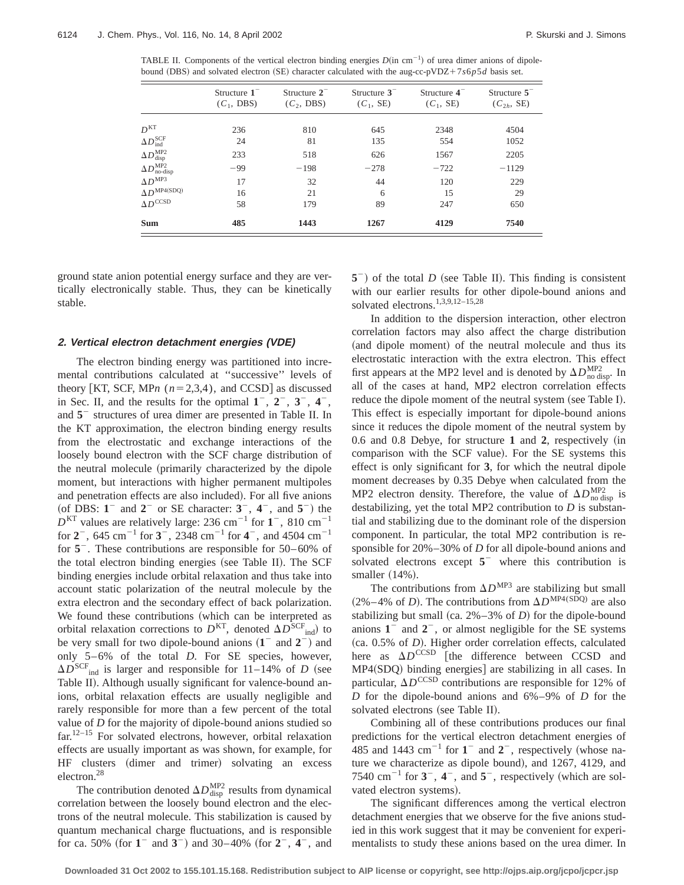TABLE II. Components of the vertical electron binding energies  $D(in \text{ cm}^{-1})$  of urea dimer anions of dipolebound (DBS) and solvated electron (SE) character calculated with the aug-cc-pVDZ+7s6*p5d* basis set.

|                                          | Structure $1^-$<br>$(C_1, DBS)$ | Structure $2^-$<br>$(C_2, DBS)$ | Structure $3^-$<br>$(C_1, SE)$ | Structure $4^-$<br>$(C_1, SE)$ | Structure $5-$<br>$(C_{2h}, SE)$ |
|------------------------------------------|---------------------------------|---------------------------------|--------------------------------|--------------------------------|----------------------------------|
| D <sup>KT</sup>                          | 236                             | 810                             | 645                            | 2348                           | 4504                             |
| $\Delta D_{\text{ind}}^{\text{SCF}}$     | 24                              | 81                              | 135                            | 554                            | 1052                             |
| $\Delta D_{\rm disp}^{\rm MP2}$          | 233                             | 518                             | 626                            | 1567                           | 2205                             |
| $\Delta D_{\text{no-disp}}^{\text{MP2}}$ | $-99$                           | $-198$                          | $-278$                         | $-722$                         | $-1129$                          |
| $\Delta D^{MP3}$                         | 17                              | 32                              | 44                             | 120                            | 229                              |
| $\Delta D^{\text{MP4}(\text{SDQ})}$      | 16                              | 21                              | 6                              | 15                             | 29                               |
| $\Delta D^{\mathrm{CCSD}}$               | 58                              | 179                             | 89                             | 247                            | 650                              |
| <b>Sum</b>                               | 485                             | 1443                            | 1267                           | 4129                           | 7540                             |

ground state anion potential energy surface and they are vertically electronically stable. Thus, they can be kinetically stable.

#### **2. Vertical electron detachment energies (VDE)**

The electron binding energy was partitioned into incremental contributions calculated at ''successive'' levels of theory [KT, SCF, MP*n*  $(n=2,3,4)$ , and CCSD] as discussed in Sec. II, and the results for the optimal  $1^-, 2^-, 3^-, 4^-,$ and  $5<sup>-</sup>$  structures of urea dimer are presented in Table II. In the KT approximation, the electron binding energy results from the electrostatic and exchange interactions of the loosely bound electron with the SCF charge distribution of the neutral molecule (primarily characterized by the dipole moment, but interactions with higher permanent multipoles and penetration effects are also included). For all five anions (of DBS:  $1^{\circ}$  and  $2^{\circ}$  or SE character:  $3^{\circ}$ ,  $4^{\circ}$ , and  $5^{\circ}$ ) the  $D<sup>KT</sup>$  values are relatively large: 236 cm<sup>-1</sup> for **1**<sup>-</sup>, 810 cm<sup>-1</sup> for  $2^-$ , 645 cm<sup>-1</sup> for  $3^-$ , 2348 cm<sup>-1</sup> for  $4^-$ , and 4504 cm<sup>-1</sup> for  $5<sup>-</sup>$ . These contributions are responsible for  $50-60\%$  of the total electron binding energies (see Table II). The SCF binding energies include orbital relaxation and thus take into account static polarization of the neutral molecule by the extra electron and the secondary effect of back polarization. We found these contributions (which can be interpreted as orbital relaxation corrections to  $D<sup>KT</sup>$ , denoted  $\Delta D<sup>SCF</sup>_{ind}$ ) to be very small for two dipole-bound anions  $(1 - \text{ and } 2)$  and only 5–6% of the total *D*. For SE species, however,  $\Delta D^{\text{SCF}}_{\text{ind}}$  is larger and responsible for 11–14% of *D* (see Table II). Although usually significant for valence-bound anions, orbital relaxation effects are usually negligible and rarely responsible for more than a few percent of the total value of *D* for the majority of dipole-bound anions studied so far.12–15 For solvated electrons, however, orbital relaxation effects are usually important as was shown, for example, for HF clusters (dimer and trimer) solvating an excess electron.28

The contribution denoted  $\Delta D_{\text{disp}}^{\text{MP2}}$  results from dynamical correlation between the loosely bound electron and the electrons of the neutral molecule. This stabilization is caused by quantum mechanical charge fluctuations, and is responsible for ca. 50% (for  $1^-$  and  $3^-$ ) and 30–40% (for  $2^-$ ,  $4^-$ , and  $5^-$ ) of the total *D* (see Table II). This finding is consistent with our earlier results for other dipole-bound anions and solvated electrons.1,3,9,12–15,28

In addition to the dispersion interaction, other electron correlation factors may also affect the charge distribution (and dipole moment) of the neutral molecule and thus its electrostatic interaction with the extra electron. This effect first appears at the MP2 level and is denoted by  $\Delta D_{\text{no disp}}^{\text{MP2}}$ . In all of the cases at hand, MP2 electron correlation effects reduce the dipole moment of the neutral system (see Table I). This effect is especially important for dipole-bound anions since it reduces the dipole moment of the neutral system by 0.6 and 0.8 Debye, for structure 1 and 2, respectively (in comparison with the SCF value). For the SE systems this effect is only significant for **3**, for which the neutral dipole moment decreases by 0.35 Debye when calculated from the MP2 electron density. Therefore, the value of  $\Delta D_{\text{no disp}}^{\text{MP2}}$  is destabilizing, yet the total MP2 contribution to *D* is substantial and stabilizing due to the dominant role of the dispersion component. In particular, the total MP2 contribution is responsible for 20%–30% of *D* for all dipole-bound anions and solvated electrons except  $5<sup>-</sup>$  where this contribution is smaller  $(14%)$ .

The contributions from  $\Delta D^{MP3}$  are stabilizing but small (2%–4% of *D*). The contributions from  $\Delta D^{\text{MP4(SDQ)}}$  are also stabilizing but small (ca.  $2\% - 3\%$  of *D*) for the dipole-bound anions  $1^-$  and  $2^-$ , or almost negligible for the SE systems (ca. 0.5% of *D*). Higher order correlation effects, calculated here as  $\Delta D^{\text{CCSD}}$  [the difference between CCSD and  $MP4(SDQ)$  binding energies] are stabilizing in all cases. In particular,  $\Delta D^{\text{CCSD}}$  contributions are responsible for 12% of *D* for the dipole-bound anions and 6%–9% of *D* for the solvated electrons (see Table II).

Combining all of these contributions produces our final predictions for the vertical electron detachment energies of 485 and 1443  $cm^{-1}$  for  $1^-$  and  $2^-$ , respectively (whose nature we characterize as dipole bound), and  $1267$ ,  $4129$ , and 7540 cm<sup>-1</sup> for  $3^{\circ}$ ,  $4^{\circ}$ , and  $5^{\circ}$ , respectively (which are solvated electron systems).

The significant differences among the vertical electron detachment energies that we observe for the five anions studied in this work suggest that it may be convenient for experimentalists to study these anions based on the urea dimer. In